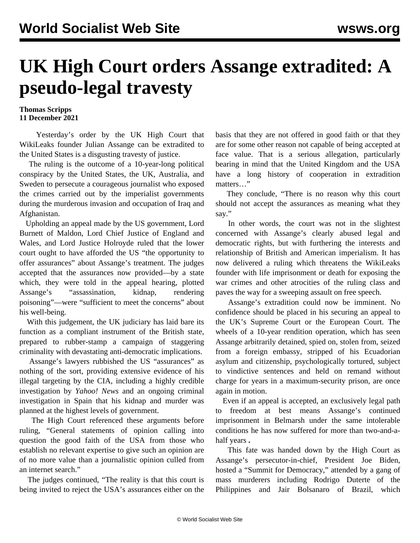## **UK High Court orders Assange extradited: A pseudo-legal travesty**

## **Thomas Scripps 11 December 2021**

 Yesterday's order by the UK High Court that WikiLeaks founder Julian Assange can be extradited to the United States is a disgusting travesty of justice.

 The ruling is the outcome of a 10-year-long political conspiracy by the United States, the UK, Australia, and Sweden to persecute a courageous journalist who exposed the crimes carried out by the imperialist governments during the murderous invasion and occupation of Iraq and Afghanistan.

 Upholding an appeal made by the US government, Lord Burnett of Maldon, Lord Chief Justice of England and Wales, and Lord Justice Holroyde ruled that the lower court ought to have afforded the US "the opportunity to offer assurances" about Assange's treatment. The judges accepted that the assurances now provided—by a state which, they were told in the appeal hearing, plotted Assange's "assassination, kidnap, rendering poisoning"—were "sufficient to meet the concerns" about his well-being.

 With this judgement, the UK judiciary has laid bare its function as a compliant instrument of the British state, prepared to rubber-stamp a campaign of staggering criminality with devastating anti-democratic implications.

 Assange's lawyers rubbished the US "assurances" as nothing of the sort, providing extensive evidence of his illegal targeting by the CIA, including a highly credible investigation by *Yahoo! News* and an ongoing criminal investigation in Spain that his kidnap and murder was planned at the highest levels of government.

 The High Court referenced these arguments before ruling, "General statements of opinion calling into question the good faith of the USA from those who establish no relevant expertise to give such an opinion are of no more value than a journalistic opinion culled from an internet search."

 The judges continued, "The reality is that this court is being invited to reject the USA's assurances either on the basis that they are not offered in good faith or that they are for some other reason not capable of being accepted at face value. That is a serious allegation, particularly bearing in mind that the United Kingdom and the USA have a long history of cooperation in extradition matters…"

 They conclude, "There is no reason why this court should not accept the assurances as meaning what they say."

 In other words, the court was not in the slightest concerned with Assange's clearly abused legal and democratic rights, but with furthering the interests and relationship of British and American imperialism. It has now delivered a ruling which threatens the WikiLeaks founder with life imprisonment or death for exposing the war crimes and other atrocities of the ruling class and paves the way for a sweeping assault on free speech.

 Assange's extradition could now be imminent. No confidence should be placed in his securing an appeal to the UK's Supreme Court or the European Court. The wheels of a 10-year rendition operation, which has seen Assange arbitrarily detained, spied on, stolen from, seized from a foreign embassy, stripped of his Ecuadorian asylum and citizenship, psychologically tortured, subject to vindictive sentences and held on remand without charge for years in a maximum-security prison, are once again in motion.

 Even if an appeal is accepted, an exclusively legal path freedom at best means Assange's continued imprisonment in Belmarsh under the same intolerable conditions he has now suffered for more than two-and-ahalf years **.**

 This fate was handed down by the High Court as Assange's persecutor-in-chief, President Joe Biden, hosted a "Summit for Democracy," attended by a gang of mass murderers including Rodrigo Duterte of the Philippines and Jair Bolsanaro of Brazil, which